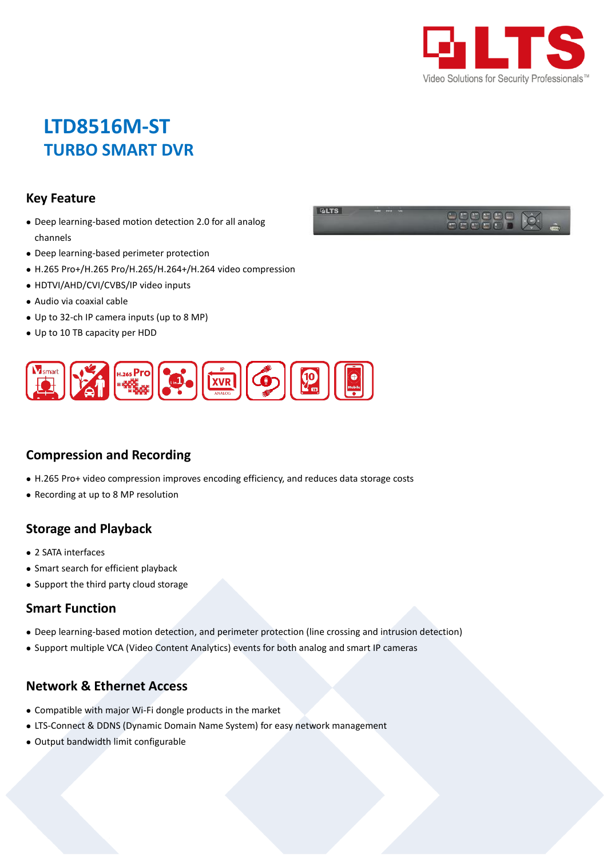

# **LTD8516M-ST TURBO SMART DVR**

#### **Key Feature**

- Deep learning-based motion detection 2.0 for all analog channels
- Deep learning-based perimeter protection
- H.265 Pro+/H.265 Pro/H.265/H.264+/H.264 video compression
- HDTVI/AHD/CVI/CVBS/IP video inputs
- Audio via coaxial cable
- Up to 32-ch IP camera inputs (up to 8 MP)
- Up to 10 TB capacity per HDD



### **Compression and Recording**

- H.265 Pro+ video compression improves encoding efficiency, and reduces data storage costs
- Recording at up to 8 MP resolution

#### **Storage and Playback**

- 2 SATA interfaces
- Smart search for efficient playback
- Support the third party cloud storage

#### **Smart Function**

- Deep learning-based motion detection, and perimeter protection (line crossing and intrusion detection)
- Support multiple VCA (Video Content Analytics) events for both analog and smart IP cameras

#### **Network & Ethernet Access**

- Compatible with major Wi-Fi dongle products in the market
- LTS-Connect & DDNS (Dynamic Domain Name System) for easy network management
- Output bandwidth limit configurable

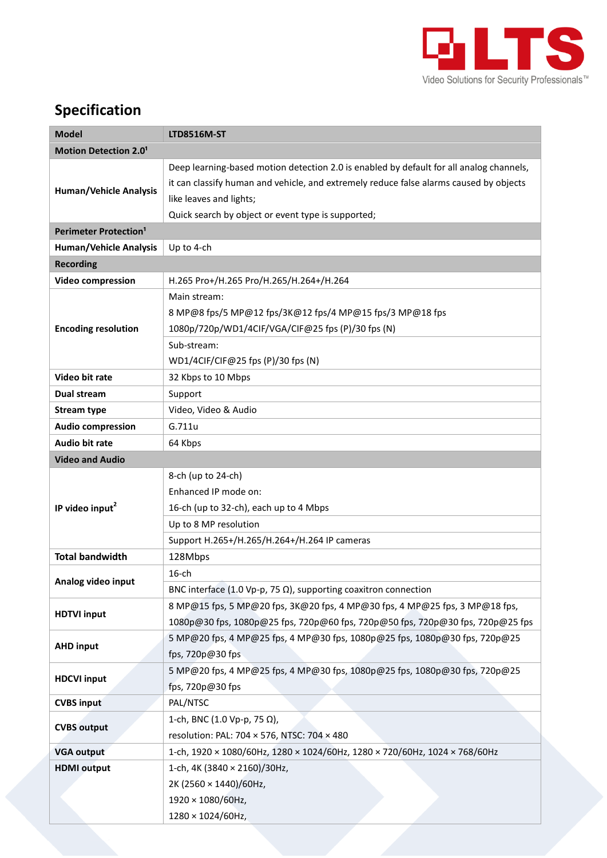

## **Specification**

| <b>Model</b>                            | <b>LTD8516M-ST</b>                                                                      |  |  |  |  |  |
|-----------------------------------------|-----------------------------------------------------------------------------------------|--|--|--|--|--|
| <b>Motion Detection 2.01</b>            |                                                                                         |  |  |  |  |  |
| <b>Human/Vehicle Analysis</b>           | Deep learning-based motion detection 2.0 is enabled by default for all analog channels, |  |  |  |  |  |
|                                         | it can classify human and vehicle, and extremely reduce false alarms caused by objects  |  |  |  |  |  |
|                                         | like leaves and lights;                                                                 |  |  |  |  |  |
|                                         | Quick search by object or event type is supported;                                      |  |  |  |  |  |
| <b>Perimeter Protection<sup>1</sup></b> |                                                                                         |  |  |  |  |  |
| <b>Human/Vehicle Analysis</b>           | Up to 4-ch                                                                              |  |  |  |  |  |
| <b>Recording</b>                        |                                                                                         |  |  |  |  |  |
| <b>Video compression</b>                | H.265 Pro+/H.265 Pro/H.265/H.264+/H.264                                                 |  |  |  |  |  |
|                                         | Main stream:                                                                            |  |  |  |  |  |
|                                         | 8 MP@8 fps/5 MP@12 fps/3K@12 fps/4 MP@15 fps/3 MP@18 fps                                |  |  |  |  |  |
| <b>Encoding resolution</b>              | 1080p/720p/WD1/4CIF/VGA/CIF@25 fps (P)/30 fps (N)                                       |  |  |  |  |  |
|                                         | Sub-stream:                                                                             |  |  |  |  |  |
|                                         | WD1/4CIF/CIF@25 fps (P)/30 fps (N)                                                      |  |  |  |  |  |
| Video bit rate                          | 32 Kbps to 10 Mbps                                                                      |  |  |  |  |  |
| <b>Dual stream</b>                      | Support                                                                                 |  |  |  |  |  |
| <b>Stream type</b>                      | Video, Video & Audio                                                                    |  |  |  |  |  |
| <b>Audio compression</b>                | G.711u                                                                                  |  |  |  |  |  |
| <b>Audio bit rate</b>                   | 64 Kbps                                                                                 |  |  |  |  |  |
| <b>Video and Audio</b>                  |                                                                                         |  |  |  |  |  |
|                                         | 8-ch (up to 24-ch)                                                                      |  |  |  |  |  |
|                                         | Enhanced IP mode on:                                                                    |  |  |  |  |  |
| IP video input <sup>2</sup>             | 16-ch (up to 32-ch), each up to 4 Mbps                                                  |  |  |  |  |  |
|                                         | Up to 8 MP resolution                                                                   |  |  |  |  |  |
|                                         | Support H.265+/H.265/H.264+/H.264 IP cameras                                            |  |  |  |  |  |
| <b>Total bandwidth</b>                  | 128Mbps                                                                                 |  |  |  |  |  |
|                                         | 16-ch                                                                                   |  |  |  |  |  |
| Analog video input                      | BNC interface (1.0 Vp-p, 75 $\Omega$ ), supporting coaxitron connection                 |  |  |  |  |  |
| <b>HDTVI</b> input                      | 8 MP@15 fps, 5 MP@20 fps, 3K@20 fps, 4 MP@30 fps, 4 MP@25 fps, 3 MP@18 fps,             |  |  |  |  |  |
|                                         | 1080p@30 fps, 1080p@25 fps, 720p@60 fps, 720p@50 fps, 720p@30 fps, 720p@25 fps          |  |  |  |  |  |
| <b>AHD input</b>                        | 5 MP@20 fps, 4 MP@25 fps, 4 MP@30 fps, 1080p@25 fps, 1080p@30 fps, 720p@25              |  |  |  |  |  |
|                                         | fps, 720p@30 fps                                                                        |  |  |  |  |  |
| <b>HDCVI input</b>                      | 5 MP@20 fps, 4 MP@25 fps, 4 MP@30 fps, 1080p@25 fps, 1080p@30 fps, 720p@25              |  |  |  |  |  |
|                                         | fps, 720p@30 fps                                                                        |  |  |  |  |  |
| <b>CVBS input</b>                       | PAL/NTSC                                                                                |  |  |  |  |  |
| <b>CVBS</b> output                      | 1-ch, BNC (1.0 Vp-p, 75 Ω),                                                             |  |  |  |  |  |
|                                         | resolution: PAL: 704 × 576, NTSC: 704 × 480                                             |  |  |  |  |  |
| <b>VGA output</b>                       | 1-ch, 1920 × 1080/60Hz, 1280 × 1024/60Hz, 1280 × 720/60Hz, 1024 × 768/60Hz              |  |  |  |  |  |
| <b>HDMI</b> output                      | 1-ch, 4K (3840 × 2160)/30Hz,                                                            |  |  |  |  |  |
|                                         | 2K (2560 × 1440)/60Hz,                                                                  |  |  |  |  |  |
|                                         | 1920 × 1080/60Hz,                                                                       |  |  |  |  |  |
|                                         | 1280 × 1024/60Hz,                                                                       |  |  |  |  |  |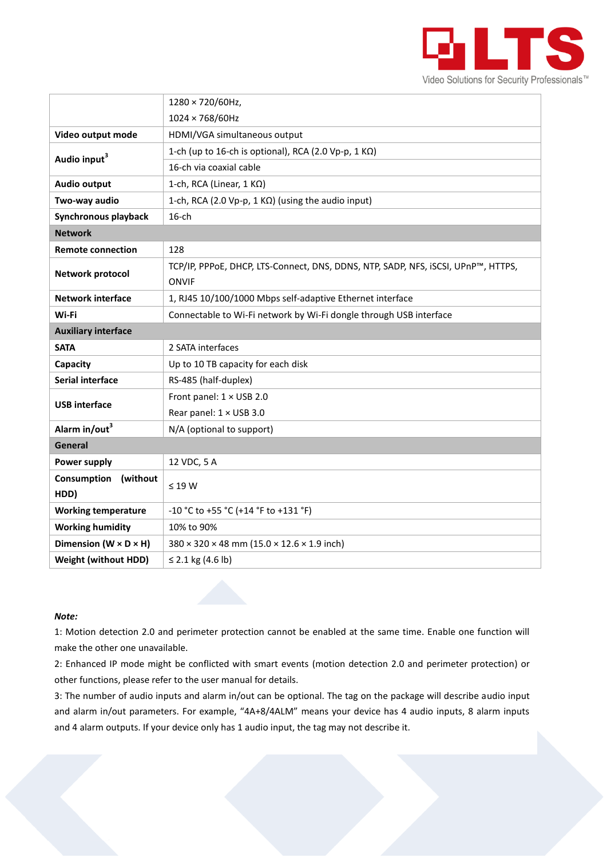

|                                     | 1280 × 720/60Hz,                                                                  |  |  |  |
|-------------------------------------|-----------------------------------------------------------------------------------|--|--|--|
|                                     | $1024 \times 768/60$ Hz                                                           |  |  |  |
| Video output mode                   | HDMI/VGA simultaneous output                                                      |  |  |  |
| Audio input <sup>3</sup>            | 1-ch (up to 16-ch is optional), RCA (2.0 Vp-p, 1 KΩ)                              |  |  |  |
|                                     | 16-ch via coaxial cable                                                           |  |  |  |
| <b>Audio output</b>                 | 1-ch, RCA (Linear, 1 KΩ)                                                          |  |  |  |
| Two-way audio                       | 1-ch, RCA (2.0 Vp-p, 1 KΩ) (using the audio input)                                |  |  |  |
| Synchronous playback                | $16$ -ch                                                                          |  |  |  |
| <b>Network</b>                      |                                                                                   |  |  |  |
| <b>Remote connection</b>            | 128                                                                               |  |  |  |
| <b>Network protocol</b>             | TCP/IP, PPPoE, DHCP, LTS-Connect, DNS, DDNS, NTP, SADP, NFS, iSCSI, UPnP™, HTTPS, |  |  |  |
|                                     | ONVIF                                                                             |  |  |  |
| <b>Network interface</b>            | 1, RJ45 10/100/1000 Mbps self-adaptive Ethernet interface                         |  |  |  |
| Wi-Fi                               | Connectable to Wi-Fi network by Wi-Fi dongle through USB interface                |  |  |  |
| <b>Auxiliary interface</b>          |                                                                                   |  |  |  |
| <b>SATA</b>                         | 2 SATA interfaces                                                                 |  |  |  |
| Capacity                            | Up to 10 TB capacity for each disk                                                |  |  |  |
| Serial interface                    | RS-485 (half-duplex)                                                              |  |  |  |
| <b>USB interface</b>                | Front panel: 1 × USB 2.0                                                          |  |  |  |
|                                     | Rear panel: 1 × USB 3.0                                                           |  |  |  |
| Alarm in/out3                       | N/A (optional to support)                                                         |  |  |  |
| General                             |                                                                                   |  |  |  |
| Power supply                        | 12 VDC, 5 A                                                                       |  |  |  |
| Consumption<br>(without             | $\leq$ 19 W                                                                       |  |  |  |
| HDD)                                |                                                                                   |  |  |  |
| <b>Working temperature</b>          | -10 °C to +55 °C (+14 °F to +131 °F)                                              |  |  |  |
| <b>Working humidity</b>             | 10% to 90%                                                                        |  |  |  |
| Dimension ( $W \times D \times H$ ) | $380 \times 320 \times 48$ mm $(15.0 \times 12.6 \times 1.9$ inch)                |  |  |  |
| <b>Weight (without HDD)</b>         | ≤ 2.1 kg $(4.6 \text{ lb})$                                                       |  |  |  |

#### *Note:*

1: Motion detection 2.0 and perimeter protection cannot be enabled at the same time. Enable one function will make the other one unavailable.

2: Enhanced IP mode might be conflicted with smart events (motion detection 2.0 and perimeter protection) or other functions, please refer to the user manual for details.

3: The number of audio inputs and alarm in/out can be optional. The tag on the package will describe audio input and alarm in/out parameters. For example, "4A+8/4ALM" means your device has 4 audio inputs, 8 alarm inputs and 4 alarm outputs. If your device only has 1 audio input, the tag may not describe it.